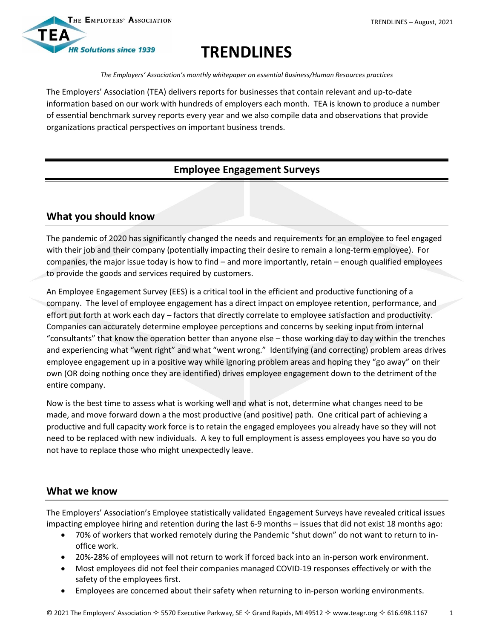

# **TRENDLINES**

*The Employers' Association's monthly whitepaper on essential Business/Human Resources practices*

The Employers' Association (TEA) delivers reports for businesses that contain relevant and up-to-date information based on our work with hundreds of employers each month. TEA is known to produce a number of essential benchmark survey reports every year and we also compile data and observations that provide organizations practical perspectives on important business trends.

## **Employee Engagement Surveys**

## **What you should know**

The pandemic of 2020 has significantly changed the needs and requirements for an employee to feel engaged with their job and their company (potentially impacting their desire to remain a long-term employee). For companies, the major issue today is how to find – and more importantly, retain – enough qualified employees to provide the goods and services required by customers.

An Employee Engagement Survey (EES) is a critical tool in the efficient and productive functioning of a company. The level of employee engagement has a direct impact on employee retention, performance, and effort put forth at work each day – factors that directly correlate to employee satisfaction and productivity. Companies can accurately determine employee perceptions and concerns by seeking input from internal "consultants" that know the operation better than anyone else – those working day to day within the trenches and experiencing what "went right" and what "went wrong." Identifying (and correcting) problem areas drives employee engagement up in a positive way while ignoring problem areas and hoping they "go away" on their own (OR doing nothing once they are identified) drives employee engagement down to the detriment of the entire company.

Now is the best time to assess what is working well and what is not, determine what changes need to be made, and move forward down a the most productive (and positive) path. One critical part of achieving a productive and full capacity work force is to retain the engaged employees you already have so they will not need to be replaced with new individuals. A key to full employment is assess employees you have so you do not have to replace those who might unexpectedly leave.

### **What we know**

The Employers' Association's Employee statistically validated Engagement Surveys have revealed critical issues impacting employee hiring and retention during the last 6-9 months – issues that did not exist 18 months ago:

- 70% of workers that worked remotely during the Pandemic "shut down" do not want to return to inoffice work.
- 20%-28% of employees will not return to work if forced back into an in-person work environment.
- Most employees did not feel their companies managed COVID-19 responses effectively or with the safety of the employees first.
- Employees are concerned about their safety when returning to in-person working environments.